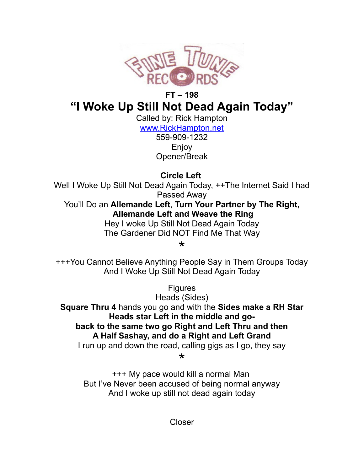

## **FT – 198 "I Woke Up Still Not Dead Again Today"**

Called by: Rick Hampton [www.RickHampton.net](http://www.RickHampton.net/)

559-909-1232 Enjoy Opener/Break

**Circle Left**

Well I Woke Up Still Not Dead Again Today,  $++$ The Internet Said I had Passed Away

You'll Do an **Allemande Left**, **Turn Your Partner by The Right, Allemande Left and Weave the Ring**

Hey I woke Up Still Not Dead Again Today The Gardener Did NOT Find Me That Way

\*

+++You Cannot Believe Anything People Say in Them Groups Today And I Woke Up Still Not Dead Again Today

**Figures** 

Heads (Sides)

**Square Thru 4** hands you go and with the **Sides make a RH Star Heads star Left in the middle and goback to the same two go Right and Left Thru and then A Half Sashay, and do a Right and Left Grand** I run up and down the road, calling gigs as I go, they say

\*

+++ My pace would kill a normal Man But I've Never been accused of being normal anyway And I woke up still not dead again today

Closer